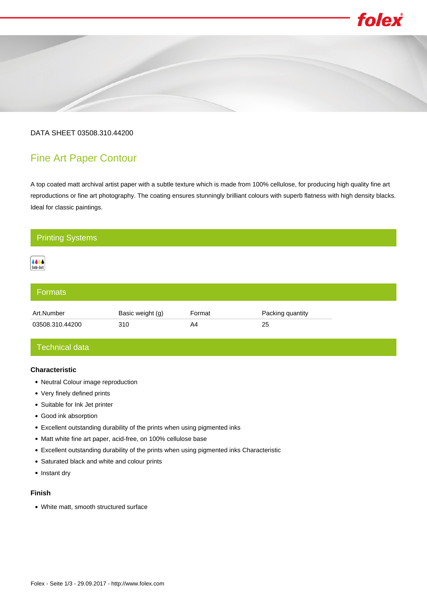

## DATA SHEET 03508.310.44200

# Fine Art Paper Contour

A top coated matt archival artist paper with a subtle texture which is made from 100% cellulose, for producing high quality fine art reproductions or fine art photography. The coating ensures stunningly brilliant colours with superb flatness with high density blacks. Ideal for classic paintings.

# Printing Systems



| <b>Formats</b>  |                  |        |                  |
|-----------------|------------------|--------|------------------|
| Art.Number      | Basic weight (g) | Format | Packing quantity |
| 03508.310.44200 | 310              | A4     | 25               |

# Technical data

### **Characteristic**

- Neutral Colour image reproduction
- Very finely defined prints
- Suitable for Ink Jet printer
- Good ink absorption
- Excellent outstanding durability of the prints when using pigmented inks
- Matt white fine art paper, acid-free, on 100% cellulose base
- Excellent outstanding durability of the prints when using pigmented inks Characteristic
- Saturated black and white and colour prints
- Instant dry

#### **Finish**

White matt, smooth structured surface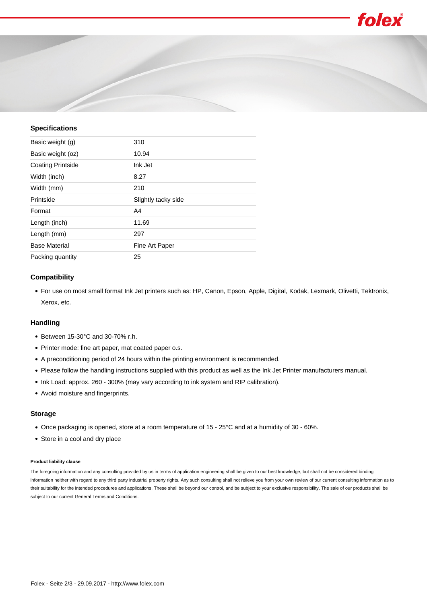



#### **Specifications**

| Basic weight (g)         | 310                 |  |
|--------------------------|---------------------|--|
| Basic weight (oz)        | 10.94               |  |
| <b>Coating Printside</b> | Ink Jet             |  |
| Width (inch)             | 8.27                |  |
| Width (mm)               | 210                 |  |
| Printside                | Slightly tacky side |  |
| Format                   | A4                  |  |
| Length (inch)            | 11.69               |  |
| Length (mm)              | 297                 |  |
| <b>Base Material</b>     | Fine Art Paper      |  |
| Packing quantity         | 25                  |  |

#### **Compatibility**

For use on most small format Ink Jet printers such as: HP, Canon, Epson, Apple, Digital, Kodak, Lexmark, Olivetti, Tektronix, Xerox, etc.

#### **Handling**

- Between 15-30°C and 30-70% r.h.
- Printer mode: fine art paper, mat coated paper o.s.
- A preconditioning period of 24 hours within the printing environment is recommended.
- Please follow the handling instructions supplied with this product as well as the Ink Jet Printer manufacturers manual.
- Ink Load: approx. 260 300% (may vary according to ink system and RIP calibration).
- Avoid moisture and fingerprints.

#### **Storage**

- Once packaging is opened, store at a room temperature of 15 25°C and at a humidity of 30 60%.
- Store in a cool and dry place

#### **Product liability clause**

The foregoing information and any consulting provided by us in terms of application engineering shall be given to our best knowledge, but shall not be considered binding information neither with regard to any third party industrial property rights. Any such consulting shall not relieve you from your own review of our current consulting information as to their suitability for the intended procedures and applications. These shall be beyond our control, and be subject to your exclusive responsibility. The sale of our products shall be subject to our current General Terms and Conditions.